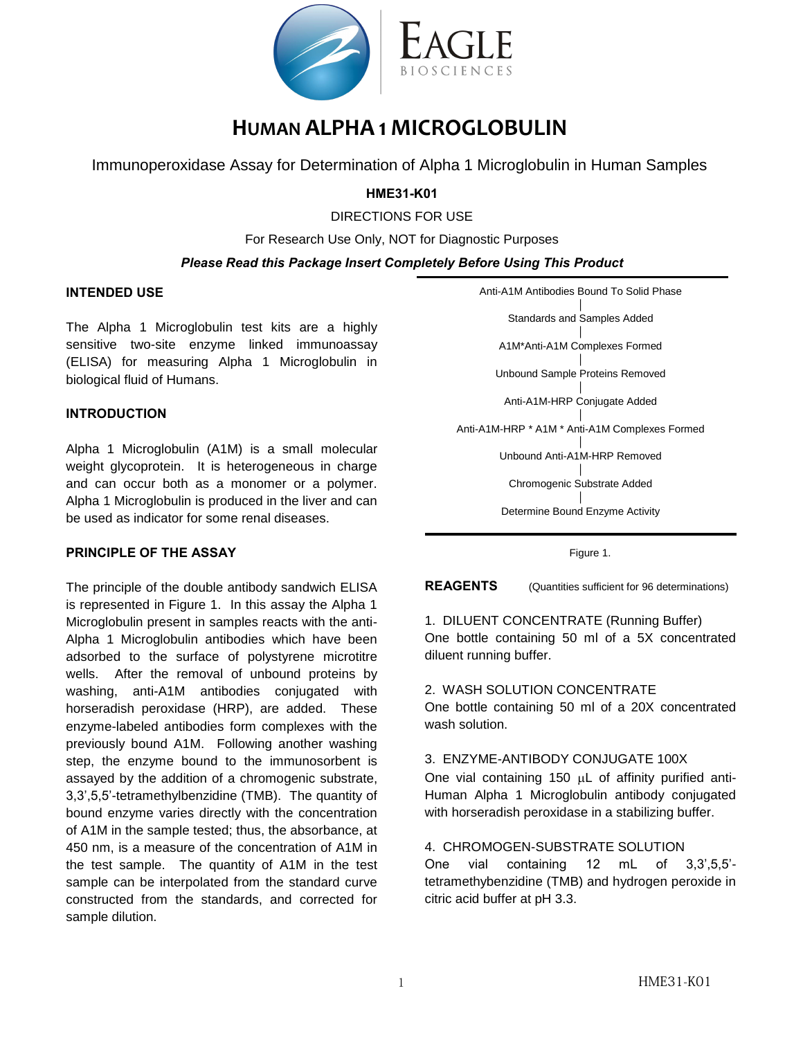

# **HUMAN ALPHA 1 MICROGLOBULIN**

Immunoperoxidase Assay for Determination of Alpha 1 Microglobulin in Human Samples

# **HME31-K01**

DIRECTIONS FOR USE

For Research Use Only, NOT for Diagnostic Purposes

# *Please Read this Package Insert Completely Before Using This Product*

# **INTENDED USE**

The Alpha 1 Microglobulin test kits are a highly sensitive two-site enzyme linked immunoassay (ELISA) for measuring Alpha 1 Microglobulin in biological fluid of Humans.

# **INTRODUCTION**

Alpha 1 Microglobulin (A1M) is a small molecular weight glycoprotein. It is heterogeneous in charge and can occur both as a monomer or a polymer. Alpha 1 Microglobulin is produced in the liver and can be used as indicator for some renal diseases.

# **PRINCIPLE OF THE ASSAY**

The principle of the double antibody sandwich ELISA is represented in Figure 1. In this assay the Alpha 1 Microglobulin present in samples reacts with the anti-Alpha 1 Microglobulin antibodies which have been adsorbed to the surface of polystyrene microtitre wells. After the removal of unbound proteins by washing, anti-A1M antibodies conjugated with horseradish peroxidase (HRP), are added. These enzyme-labeled antibodies form complexes with the previously bound A1M. Following another washing step, the enzyme bound to the immunosorbent is assayed by the addition of a chromogenic substrate, 3,3',5,5'-tetramethylbenzidine (TMB). The quantity of bound enzyme varies directly with the concentration of A1M in the sample tested; thus, the absorbance, at 450 nm, is a measure of the concentration of A1M in the test sample. The quantity of A1M in the test sample can be interpolated from the standard curve constructed from the standards, and corrected for sample dilution.

Anti-A1M Antibodies Bound To Solid Phase │ Standards and Samples Added │ A1M\*Anti-A1M Complexes Formed │ Unbound Sample Proteins Removed │ Anti-A1M-HRP Conjugate Added │ Anti-A1M-HRP \* A1M \* Anti-A1M Complexes Formed │ Unbound Anti-A1M-HRP Removed │ Chromogenic Substrate Added │ Determine Bound Enzyme Activity

Figure 1.

**REAGENTS** (Quantities sufficient for 96 determinations)

1. DILUENT CONCENTRATE (Running Buffer) One bottle containing 50 ml of a 5X concentrated diluent running buffer.

# 2. WASH SOLUTION CONCENTRATE

One bottle containing 50 ml of a 20X concentrated wash solution.

# 3. ENZYME-ANTIBODY CONJUGATE 100X

One vial containing 150  $\mu$ L of affinity purified anti-Human Alpha 1 Microglobulin antibody conjugated with horseradish peroxidase in a stabilizing buffer.

# 4. CHROMOGEN-SUBSTRATE SOLUTION

One vial containing 12 mL of 3,3',5,5' tetramethybenzidine (TMB) and hydrogen peroxide in citric acid buffer at pH 3.3.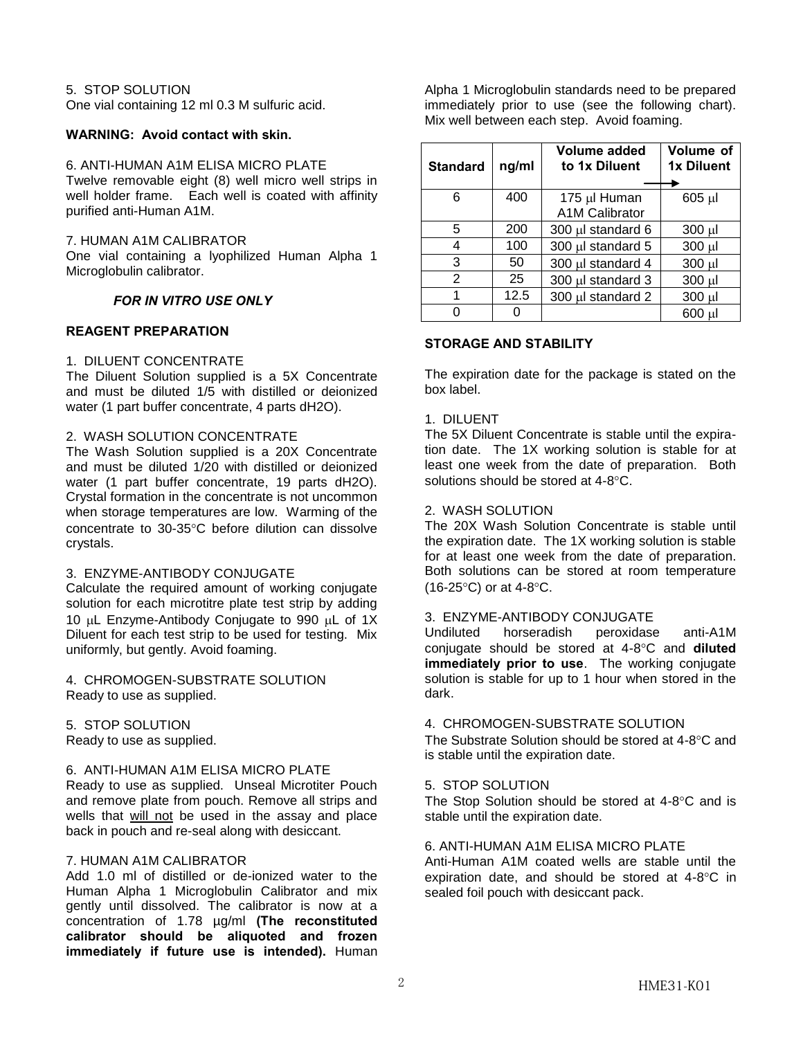# 5. STOP SOLUTION

One vial containing 12 ml 0.3 M sulfuric acid.

#### **WARNING: Avoid contact with skin.**

#### 6. ANTI-HUMAN A1M ELISA MICRO PLATE

Twelve removable eight (8) well micro well strips in well holder frame. Each well is coated with affinity purified anti-Human A1M.

#### 7. HUMAN A1M CALIBRATOR

One vial containing a lyophilized Human Alpha 1 Microglobulin calibrator.

# *FOR IN VITRO USE ONLY*

# **REAGENT PREPARATION**

#### 1. DILUENT CONCENTRATE

The Diluent Solution supplied is a 5X Concentrate and must be diluted 1/5 with distilled or deionized water (1 part buffer concentrate, 4 parts dH2O).

#### 2. WASH SOLUTION CONCENTRATE

The Wash Solution supplied is a 20X Concentrate and must be diluted 1/20 with distilled or deionized water (1 part buffer concentrate, 19 parts dH2O). Crystal formation in the concentrate is not uncommon when storage temperatures are low. Warming of the concentrate to 30-35C before dilution can dissolve crystals.

#### 3. ENZYME-ANTIBODY CONJUGATE

Calculate the required amount of working conjugate solution for each microtitre plate test strip by adding 10  $\mu$ L Enzyme-Antibody Conjugate to 990  $\mu$ L of 1X Diluent for each test strip to be used for testing. Mix uniformly, but gently. Avoid foaming.

4. CHROMOGEN-SUBSTRATE SOLUTION Ready to use as supplied.

5. STOP SOLUTION

Ready to use as supplied.

#### 6. ANTI-HUMAN A1M ELISA MICRO PLATE

Ready to use as supplied. Unseal Microtiter Pouch and remove plate from pouch. Remove all strips and wells that will not be used in the assay and place back in pouch and re-seal along with desiccant.

# 7. HUMAN A1M CALIBRATOR

Add 1.0 ml of distilled or de-ionized water to the Human Alpha 1 Microglobulin Calibrator and mix gently until dissolved. The calibrator is now at a concentration of 1.78 µg/ml **(The reconstituted calibrator should be aliquoted and frozen immediately if future use is intended).** Human

Alpha 1 Microglobulin standards need to be prepared immediately prior to use (see the following chart). Mix well between each step. Avoid foaming.

| <b>Standard</b> | ng/ml | Volume added<br>to 1x Diluent         | Volume of<br>1x Diluent |
|-----------------|-------|---------------------------------------|-------------------------|
| 6               | 400   | 175 µl Human<br><b>A1M Calibrator</b> | 605 µl                  |
| 5               | 200   | 300 µl standard 6                     | $300 \mu l$             |
| 4               | 100   | 300 µl standard 5                     | 300 µl                  |
| 3               | 50    | 300 µl standard 4                     | 300 µl                  |
| 2               | 25    | 300 µl standard 3                     | 300 µl                  |
| 1               | 12.5  | 300 µl standard 2                     | 300 µl                  |
|                 |       |                                       | 600 ul                  |

# **STORAGE AND STABILITY**

The expiration date for the package is stated on the box label.

#### 1. DILUENT

The 5X Diluent Concentrate is stable until the expiration date. The 1X working solution is stable for at least one week from the date of preparation. Both solutions should be stored at  $4-8^{\circ}$ C.

#### 2. WASH SOLUTION

The 20X Wash Solution Concentrate is stable until the expiration date. The 1X working solution is stable for at least one week from the date of preparation. Both solutions can be stored at room temperature  $(16-25^{\circ}C)$  or at 4-8 $^{\circ}C$ .

#### 3. ENZYME-ANTIBODY CONJUGATE

Undiluted horseradish peroxidase anti-A1M conjugate should be stored at 4-8C and **diluted immediately prior to use**. The working conjugate solution is stable for up to 1 hour when stored in the dark.

#### 4. CHROMOGEN-SUBSTRATE SOLUTION

The Substrate Solution should be stored at  $4-8^{\circ}$ C and is stable until the expiration date.

#### 5. STOP SOLUTION

The Stop Solution should be stored at  $4-8^{\circ}$ C and is stable until the expiration date.

# 6. ANTI-HUMAN A1M ELISA MICRO PLATE

Anti-Human A1M coated wells are stable until the expiration date, and should be stored at  $4-8^{\circ}$ C in sealed foil pouch with desiccant pack.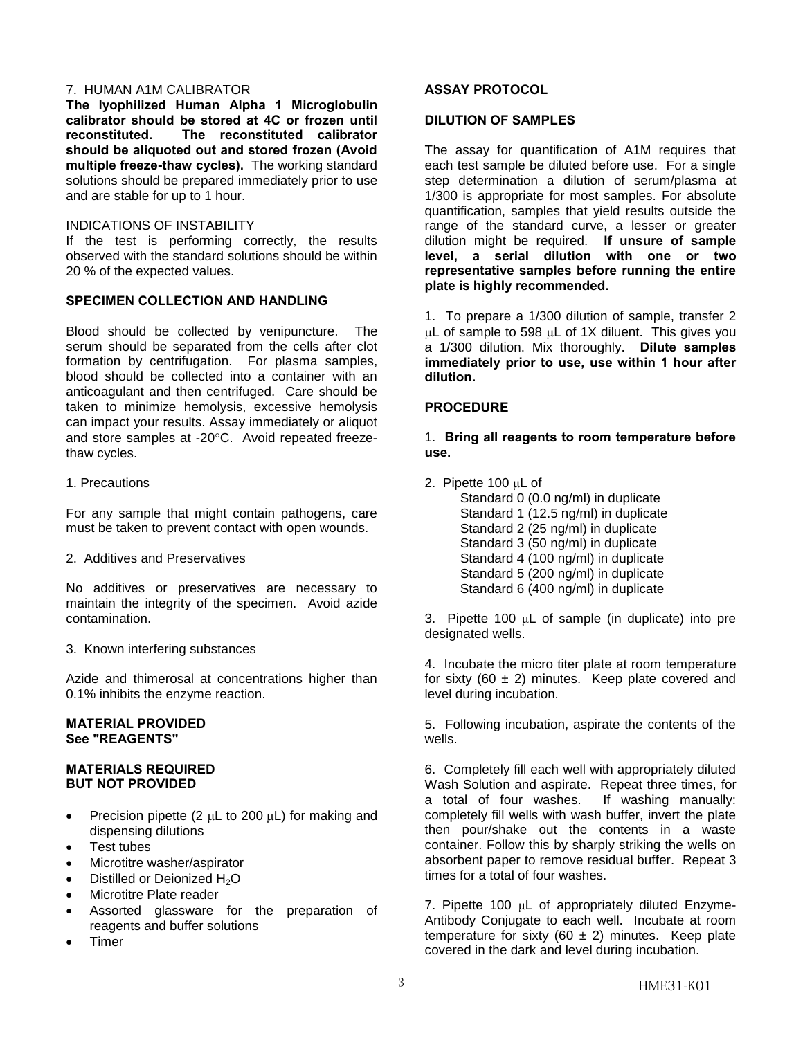# 7. HUMAN A1M CALIBRATOR

**The lyophilized Human Alpha 1 Microglobulin calibrator should be stored at 4C or frozen until reconstituted. The reconstituted calibrator should be aliquoted out and stored frozen (Avoid multiple freeze-thaw cycles).** The working standard solutions should be prepared immediately prior to use and are stable for up to 1 hour.

#### INDICATIONS OF INSTABILITY

If the test is performing correctly, the results observed with the standard solutions should be within 20 % of the expected values.

# **SPECIMEN COLLECTION AND HANDLING**

Blood should be collected by venipuncture. The serum should be separated from the cells after clot formation by centrifugation. For plasma samples, blood should be collected into a container with an anticoagulant and then centrifuged. Care should be taken to minimize hemolysis, excessive hemolysis can impact your results. Assay immediately or aliquot and store samples at -20°C. Avoid repeated freezethaw cycles.

# 1. Precautions

For any sample that might contain pathogens, care must be taken to prevent contact with open wounds.

2. Additives and Preservatives

No additives or preservatives are necessary to maintain the integrity of the specimen. Avoid azide contamination.

3. Known interfering substances

Azide and thimerosal at concentrations higher than 0.1% inhibits the enzyme reaction.

# **MATERIAL PROVIDED See "REAGENTS"**

# **MATERIALS REQUIRED BUT NOT PROVIDED**

- Precision pipette (2  $\mu$ L to 200  $\mu$ L) for making and dispensing dilutions
- Test tubes
- Microtitre washer/aspirator
- Distilled or Deionized H<sub>2</sub>O
- Microtitre Plate reader
- Assorted glassware for the preparation of reagents and buffer solutions
- Timer

# **ASSAY PROTOCOL**

# **DILUTION OF SAMPLES**

The assay for quantification of A1M requires that each test sample be diluted before use. For a single step determination a dilution of serum/plasma at 1/300 is appropriate for most samples. For absolute quantification, samples that yield results outside the range of the standard curve, a lesser or greater dilution might be required. **If unsure of sample level, a serial dilution with one or two representative samples before running the entire plate is highly recommended.** 

1. To prepare a 1/300 dilution of sample, transfer 2  $\mu$ L of sample to 598  $\mu$ L of 1X diluent. This gives you a 1/300 dilution. Mix thoroughly. **Dilute samples immediately prior to use, use within 1 hour after dilution.**

# **PROCEDURE**

1. **Bring all reagents to room temperature before use.**

2. Pipette 100 μL of

Standard 0 (0.0 ng/ml) in duplicate Standard 1 (12.5 ng/ml) in duplicate Standard 2 (25 ng/ml) in duplicate Standard 3 (50 ng/ml) in duplicate Standard 4 (100 ng/ml) in duplicate Standard 5 (200 ng/ml) in duplicate Standard 6 (400 ng/ml) in duplicate

3. Pipette 100 μL of sample (in duplicate) into pre designated wells.

4. Incubate the micro titer plate at room temperature for sixty (60  $\pm$  2) minutes. Keep plate covered and level during incubation.

5. Following incubation, aspirate the contents of the wells.

6. Completely fill each well with appropriately diluted Wash Solution and aspirate. Repeat three times, for a total of four washes. If washing manually: completely fill wells with wash buffer, invert the plate then pour/shake out the contents in a waste container. Follow this by sharply striking the wells on absorbent paper to remove residual buffer. Repeat 3 times for a total of four washes.

7. Pipette 100 μL of appropriately diluted Enzyme-Antibody Conjugate to each well. Incubate at room temperature for sixty (60  $\pm$  2) minutes. Keep plate covered in the dark and level during incubation.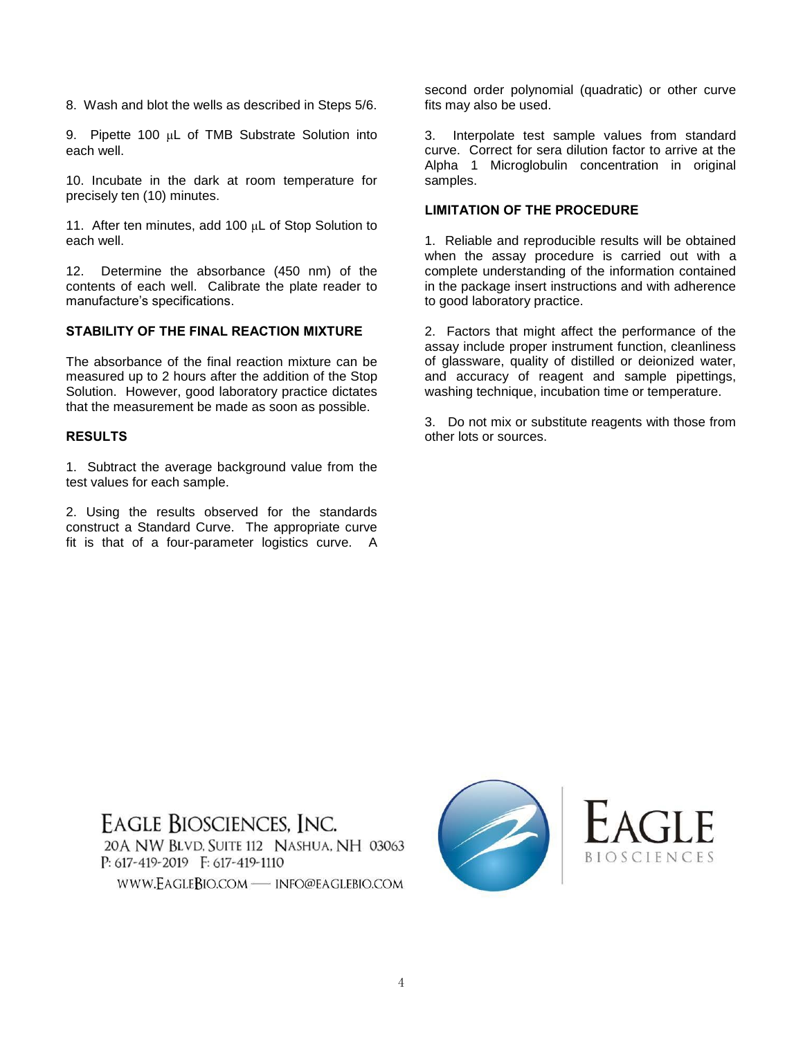8. Wash and blot the wells as described in Steps 5/6.

9. Pipette 100 μL of TMB Substrate Solution into each well.

10. Incubate in the dark at room temperature for precisely ten (10) minutes.

11. After ten minutes, add 100 μL of Stop Solution to each well.

12. Determine the absorbance (450 nm) of the contents of each well. Calibrate the plate reader to manufacture's specifications.

# **STABILITY OF THE FINAL REACTION MIXTURE**

The absorbance of the final reaction mixture can be measured up to 2 hours after the addition of the Stop Solution. However, good laboratory practice dictates that the measurement be made as soon as possible.

# **RESULTS**

1. Subtract the average background value from the test values for each sample.

2. Using the results observed for the standards construct a Standard Curve. The appropriate curve fit is that of a four-parameter logistics curve. A second order polynomial (quadratic) or other curve fits may also be used.

3. Interpolate test sample values from standard curve. Correct for sera dilution factor to arrive at the Alpha 1 Microglobulin concentration in original samples.

# **LIMITATION OF THE PROCEDURE**

1. Reliable and reproducible results will be obtained when the assay procedure is carried out with a complete understanding of the information contained in the package insert instructions and with adherence to good laboratory practice.

2. Factors that might affect the performance of the assay include proper instrument function, cleanliness of glassware, quality of distilled or deionized water, and accuracy of reagent and sample pipettings, washing technique, incubation time or temperature.

3. Do not mix or substitute reagents with those from other lots or sources.

**EAGLE BIOSCIENCES, INC.** 20 A NW BLVD, SUITE 112 NASHUA, NH 03063  $P: 617 - 419 - 2019$   $F: 617 - 419 - 1110$ 

WWW.EAGLEBIO.COM - INFO@EAGLEBIO.COM